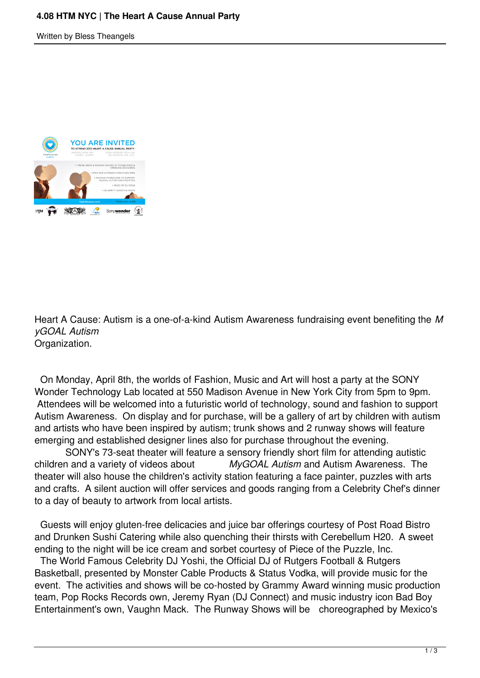Written by Bless Theangels



Heart A Cause: Autism is a one-of-a-kind Autism Awareness fundraising event benefiting the *M yGOAL Autism* Organization.

 On Monday, April 8th, the worlds of Fashion, Music and Art will host a party at the SONY Wonder Technology Lab located at 550 Madison Avenue in New York City from 5pm to 9pm. Attendees will be welcomed into a futuristic world of technology, sound and fashion to support Autism Awareness. On display and for purchase, will be a gallery of art by children with autism and artists who have been inspired by autism; trunk shows and 2 runway shows will feature emerging and established designer lines also for purchase throughout the evening.

 SONY's 73-seat theater will feature a sensory friendly short film for attending autistic children and a variety of videos about *MyGOAL Autism* and Autism Awareness. The theater will also house the children's activity station featuring a face painter, puzzles with arts and crafts. A silent auction will offer services and goods ranging from a Celebrity Chef's dinner to a day of beauty to artwork from local artists.

 Guests will enjoy gluten-free delicacies and juice bar offerings courtesy of Post Road Bistro and Drunken Sushi Catering while also quenching their thirsts with Cerebellum H20. A sweet ending to the night will be ice cream and sorbet courtesy of Piece of the Puzzle, Inc.

 The World Famous Celebrity DJ Yoshi, the Official DJ of Rutgers Football & Rutgers Basketball, presented by Monster Cable Products & Status Vodka, will provide music for the event. The activities and shows will be co-hosted by Grammy Award winning music production team, Pop Rocks Records own, Jeremy Ryan (DJ Connect) and music industry icon Bad Boy Entertainment's own, Vaughn Mack. The Runway Shows will be choreographed by Mexico's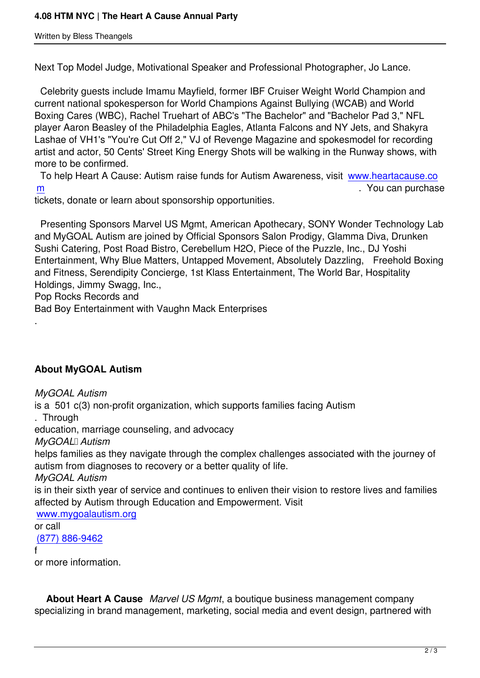Next Top Model Judge, Motivational Speaker and Professional Photographer, Jo Lance.

 Celebrity guests include Imamu Mayfield, former IBF Cruiser Weight World Champion and current national spokesperson for World Champions Against Bullying (WCAB) and World Boxing Cares (WBC), Rachel Truehart of ABC's "The Bachelor" and "Bachelor Pad 3," NFL player Aaron Beasley of the Philadelphia Eagles, Atlanta Falcons and NY Jets, and Shakyra Lashae of VH1's "You're Cut Off 2," VJ of Revenge Magazine and spokesmodel for recording artist and actor, 50 Cents' Street King Energy Shots will be walking in the Runway shows, with more to be confirmed.

 To help Heart A Cause: Autism raise funds for Autism Awareness, visit www.heartacause.co m . You can purchase the state of the state of the state of the state of the state of the state of the state of the state of the state of the state of the state of the state of the state of the state of the state of the st

tickets, donate or learn about sponsorship opportunities.

 [P](http://www.heartacause.com/)resenting Sponsors Marvel US Mgmt, American Apothecary, SONY W[onder Technology La](http://www.heartacause.com/)b and MyGOAL Autism are joined by Official Sponsors Salon Prodigy, Glamma Diva, Drunken Sushi Catering, Post Road Bistro, Cerebellum H2O, Piece of the Puzzle, Inc., DJ Yoshi Entertainment, Why Blue Matters, Untapped Movement, Absolutely Dazzling, Freehold Boxing and Fitness, Serendipity Concierge, 1st Klass Entertainment, The World Bar, Hospitality Holdings, Jimmy Swagg, Inc.,

Pop Rocks Records and

Bad Boy Entertainment with Vaughn Mack Enterprises

## **About MyGOAL Autism**

*MyGOAL Autism*  is a 501 c(3) non-profit organization, which supports families facing Autism . Through education, marriage counseling, and advocacy *MyGOAL*<sub>II</sub> Autism helps families as they navigate through the complex challenges associated with the journey of autism from diagnoses to recovery or a better quality of life. *MyGOAL Autism* is in their sixth year of service and continues to enliven their vision to restore lives and families affected by Autism through Education and Empowerment. Visit www.mygoalautism.org or call (877) 886-9462

f

.

[or more information.](http://www.mygoalautism.org/)

 **About Heart A Cause** *Marvel US Mgmt*, a boutique business management company specializing in brand management, marketing, social media and event design, partnered with